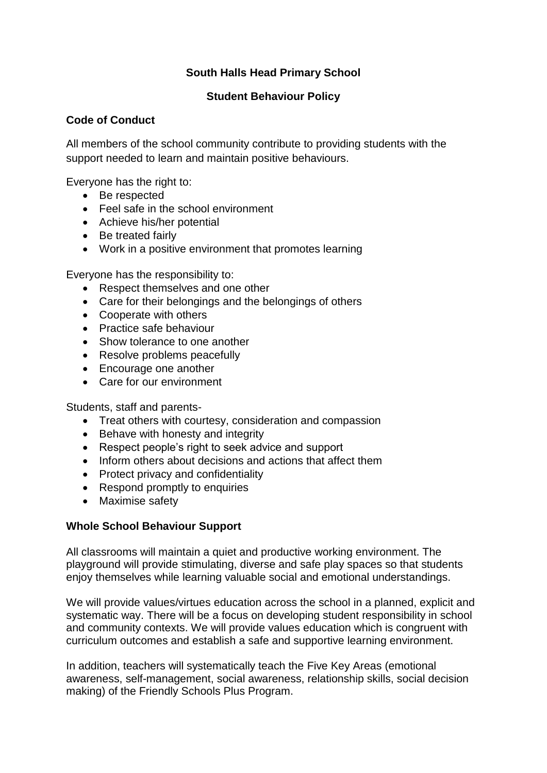# **South Halls Head Primary School**

## **Student Behaviour Policy**

### **Code of Conduct**

All members of the school community contribute to providing students with the support needed to learn and maintain positive behaviours.

Everyone has the right to:

- Be respected
- Feel safe in the school environment
- Achieve his/her potential
- Be treated fairly
- Work in a positive environment that promotes learning

Everyone has the responsibility to:

- Respect themselves and one other
- Care for their belongings and the belongings of others
- Cooperate with others
- **•** Practice safe behaviour
- Show tolerance to one another
- Resolve problems peacefully
- Encourage one another
- Care for our environment

Students, staff and parents-

- Treat others with courtesy, consideration and compassion
- Behave with honesty and integrity
- Respect people's right to seek advice and support
- Inform others about decisions and actions that affect them
- Protect privacy and confidentiality
- Respond promptly to enquiries
- Maximise safety

#### **Whole School Behaviour Support**

All classrooms will maintain a quiet and productive working environment. The playground will provide stimulating, diverse and safe play spaces so that students enjoy themselves while learning valuable social and emotional understandings.

We will provide values/virtues education across the school in a planned, explicit and systematic way. There will be a focus on developing student responsibility in school and community contexts. We will provide values education which is congruent with curriculum outcomes and establish a safe and supportive learning environment.

In addition, teachers will systematically teach the Five Key Areas (emotional awareness, self-management, social awareness, relationship skills, social decision making) of the Friendly Schools Plus Program.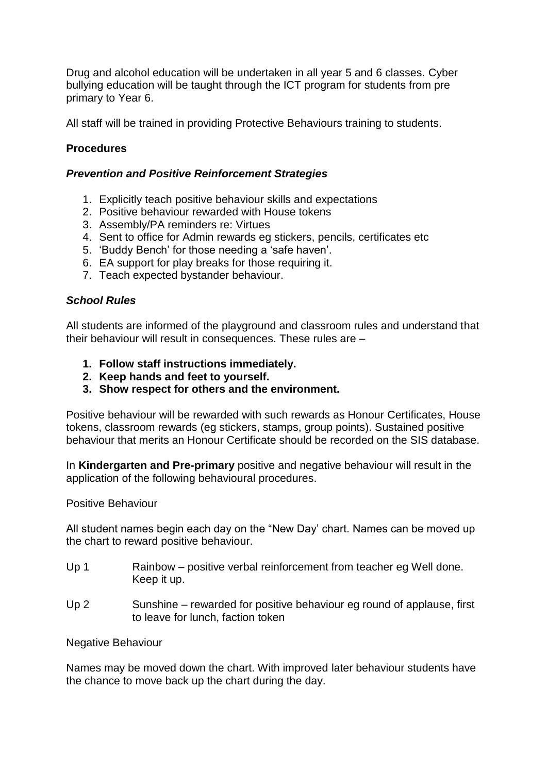Drug and alcohol education will be undertaken in all year 5 and 6 classes. Cyber bullying education will be taught through the ICT program for students from pre primary to Year 6.

All staff will be trained in providing Protective Behaviours training to students.

# **Procedures**

### *Prevention and Positive Reinforcement Strategies*

- 1. Explicitly teach positive behaviour skills and expectations
- 2. Positive behaviour rewarded with House tokens
- 3. Assembly/PA reminders re: Virtues
- 4. Sent to office for Admin rewards eg stickers, pencils, certificates etc
- 5. 'Buddy Bench' for those needing a 'safe haven'.
- 6. EA support for play breaks for those requiring it.
- 7. Teach expected bystander behaviour.

### *School Rules*

All students are informed of the playground and classroom rules and understand that their behaviour will result in consequences. These rules are –

- **1. Follow staff instructions immediately.**
- **2. Keep hands and feet to yourself.**
- **3. Show respect for others and the environment.**

Positive behaviour will be rewarded with such rewards as Honour Certificates, House tokens, classroom rewards (eg stickers, stamps, group points). Sustained positive behaviour that merits an Honour Certificate should be recorded on the SIS database.

In **Kindergarten and Pre-primary** positive and negative behaviour will result in the application of the following behavioural procedures.

#### Positive Behaviour

All student names begin each day on the "New Day' chart. Names can be moved up the chart to reward positive behaviour.

- Up 1 Rainbow positive verbal reinforcement from teacher eg Well done. Keep it up.
- Up 2 Sunshine rewarded for positive behaviour eg round of applause, first to leave for lunch, faction token

#### Negative Behaviour

Names may be moved down the chart. With improved later behaviour students have the chance to move back up the chart during the day.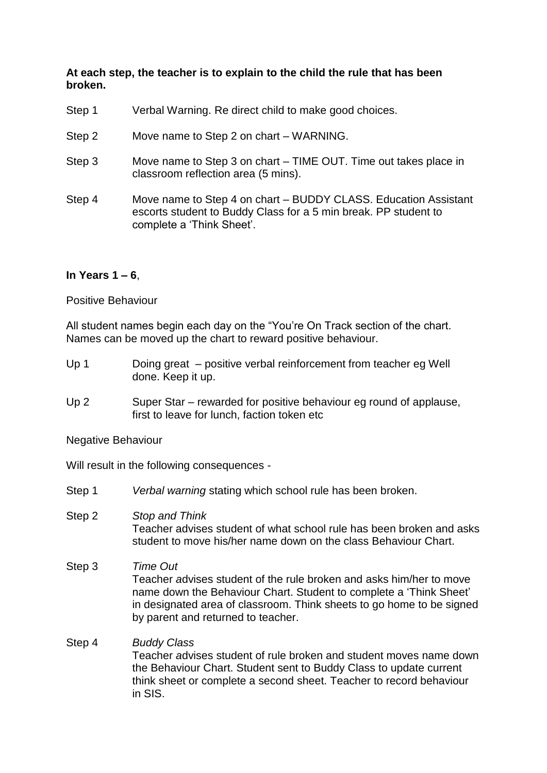#### **At each step, the teacher is to explain to the child the rule that has been broken.**

- Step 1 Verbal Warning. Re direct child to make good choices.
- Step 2 Move name to Step 2 on chart WARNING.
- Step 3 Move name to Step 3 on chart TIME OUT. Time out takes place in classroom reflection area (5 mins).
- Step 4 Move name to Step 4 on chart BUDDY CLASS. Education Assistant escorts student to Buddy Class for a 5 min break. PP student to complete a 'Think Sheet'.

#### **In Years 1 – 6**,

Positive Behaviour

All student names begin each day on the "You're On Track section of the chart. Names can be moved up the chart to reward positive behaviour.

- Up 1 Doing great positive verbal reinforcement from teacher eg Well done. Keep it up.
- Up 2 Super Star rewarded for positive behaviour eg round of applause, first to leave for lunch, faction token etc

Negative Behaviour

Will result in the following consequences -

- Step 1 *Verbal warning* stating which school rule has been broken.
- Step 2 *Stop and Think* Teacher advises student of what school rule has been broken and asks student to move his/her name down on the class Behaviour Chart.
- Step 3 *Time Out* Teacher *a*dvises student of the rule broken and asks him/her to move name down the Behaviour Chart. Student to complete a 'Think Sheet' in designated area of classroom. Think sheets to go home to be signed by parent and returned to teacher.
- Step 4 *Buddy Class* Teacher *a*dvises student of rule broken and student moves name down the Behaviour Chart. Student sent to Buddy Class to update current think sheet or complete a second sheet. Teacher to record behaviour in SIS.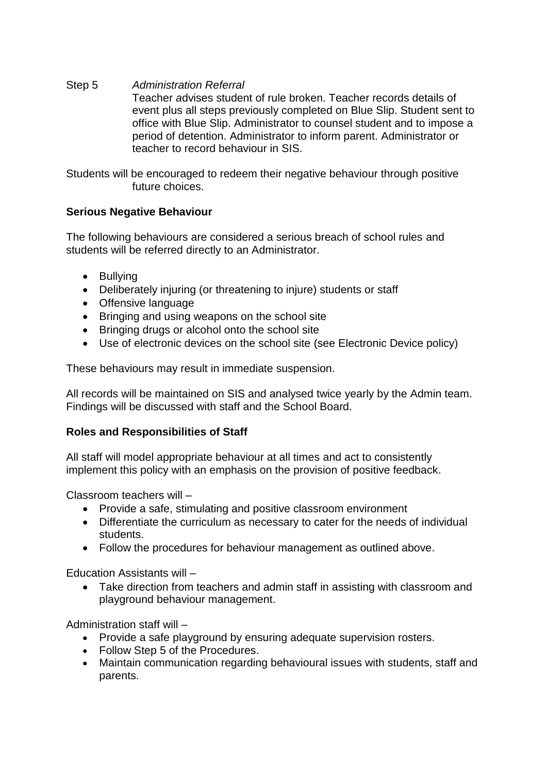Step 5 *Administration Referral* Teacher *a*dvises student of rule broken. Teacher records details of event plus all steps previously completed on Blue Slip. Student sent to office with Blue Slip. Administrator to counsel student and to impose a period of detention. Administrator to inform parent. Administrator or teacher to record behaviour in SIS.

Students will be encouraged to redeem their negative behaviour through positive future choices.

## **Serious Negative Behaviour**

The following behaviours are considered a serious breach of school rules and students will be referred directly to an Administrator.

- Bullying
- Deliberately injuring (or threatening to injure) students or staff
- Offensive language
- Bringing and using weapons on the school site
- Bringing drugs or alcohol onto the school site
- Use of electronic devices on the school site (see Electronic Device policy)

These behaviours may result in immediate suspension.

All records will be maintained on SIS and analysed twice yearly by the Admin team. Findings will be discussed with staff and the School Board.

#### **Roles and Responsibilities of Staff**

All staff will model appropriate behaviour at all times and act to consistently implement this policy with an emphasis on the provision of positive feedback.

Classroom teachers will –

- Provide a safe, stimulating and positive classroom environment
- Differentiate the curriculum as necessary to cater for the needs of individual students.
- Follow the procedures for behaviour management as outlined above.

Education Assistants will –

• Take direction from teachers and admin staff in assisting with classroom and playground behaviour management.

Administration staff will –

- Provide a safe playground by ensuring adequate supervision rosters.
- Follow Step 5 of the Procedures.
- Maintain communication regarding behavioural issues with students, staff and parents.